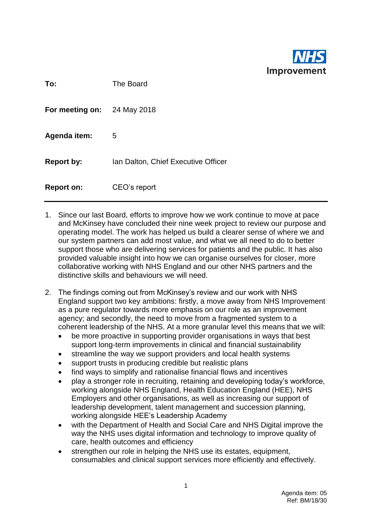

| To:                         | The Board                           |
|-----------------------------|-------------------------------------|
| For meeting on: 24 May 2018 |                                     |
| <b>Agenda item:</b>         | 5                                   |
| <b>Report by:</b>           | Ian Dalton, Chief Executive Officer |
| <b>Report on:</b>           | CEO's report                        |

- 1. Since our last Board, efforts to improve how we work continue to move at pace and McKinsey have concluded their nine week project to review our purpose and operating model. The work has helped us build a clearer sense of where we and our system partners can add most value, and what we all need to do to better support those who are delivering services for patients and the public. It has also provided valuable insight into how we can organise ourselves for closer, more collaborative working with NHS England and our other NHS partners and the distinctive skills and behaviours we will need.
- 2. The findings coming out from McKinsey's review and our work with NHS England support two key ambitions: firstly, a move away from NHS Improvement as a pure regulator towards more emphasis on our role as an improvement agency; and secondly, the need to move from a fragmented system to a coherent leadership of the NHS. At a more granular level this means that we will:
	- be more proactive in supporting provider organisations in ways that best support long-term improvements in clinical and financial sustainability
	- streamline the way we support providers and local health systems
	- support trusts in producing credible but realistic plans
	- find ways to simplify and rationalise financial flows and incentives
	- play a stronger role in recruiting, retaining and developing today's workforce, working alongside NHS England, Health Education England (HEE), NHS Employers and other organisations, as well as increasing our support of leadership development, talent management and succession planning, working alongside HEE's Leadership Academy
	- with the Department of Health and Social Care and NHS Digital improve the way the NHS uses digital information and technology to improve quality of care, health outcomes and efficiency
	- strengthen our role in helping the NHS use its estates, equipment, consumables and clinical support services more efficiently and effectively.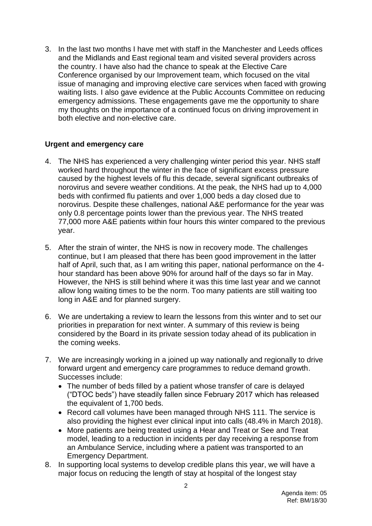3. In the last two months I have met with staff in the Manchester and Leeds offices and the Midlands and East regional team and visited several providers across the country. I have also had the chance to speak at the Elective Care Conference organised by our Improvement team, which focused on the vital issue of managing and improving elective care services when faced with growing waiting lists. I also gave evidence at the Public Accounts Committee on reducing emergency admissions. These engagements gave me the opportunity to share my thoughts on the importance of a continued focus on driving improvement in both elective and non-elective care.

## **Urgent and emergency care**

- 4. The NHS has experienced a very challenging winter period this year. NHS staff worked hard throughout the winter in the face of significant excess pressure caused by the highest levels of flu this decade, several significant outbreaks of norovirus and severe weather conditions. At the peak, the NHS had up to 4,000 beds with confirmed flu patients and over 1,000 beds a day closed due to norovirus. Despite these challenges, national A&E performance for the year was only 0.8 percentage points lower than the previous year. The NHS treated 77,000 more A&E patients within four hours this winter compared to the previous year.
- 5. After the strain of winter, the NHS is now in recovery mode. The challenges continue, but I am pleased that there has been good improvement in the latter half of April, such that, as I am writing this paper, national performance on the 4hour standard has been above 90% for around half of the days so far in May. However, the NHS is still behind where it was this time last year and we cannot allow long waiting times to be the norm. Too many patients are still waiting too long in A&E and for planned surgery.
- 6. We are undertaking a review to learn the lessons from this winter and to set our priorities in preparation for next winter. A summary of this review is being considered by the Board in its private session today ahead of its publication in the coming weeks.
- 7. We are increasingly working in a joined up way nationally and regionally to drive forward urgent and emergency care programmes to reduce demand growth. Successes include:
	- The number of beds filled by a patient whose transfer of care is delayed ("DTOC beds") have steadily fallen since February 2017 which has released the equivalent of 1,700 beds.
	- Record call volumes have been managed through NHS 111. The service is also providing the highest ever clinical input into calls (48.4% in March 2018).
	- More patients are being treated using a Hear and Treat or See and Treat model, leading to a reduction in incidents per day receiving a response from an Ambulance Service, including where a patient was transported to an Emergency Department.
- 8. In supporting local systems to develop credible plans this year, we will have a major focus on reducing the length of stay at hospital of the longest stay